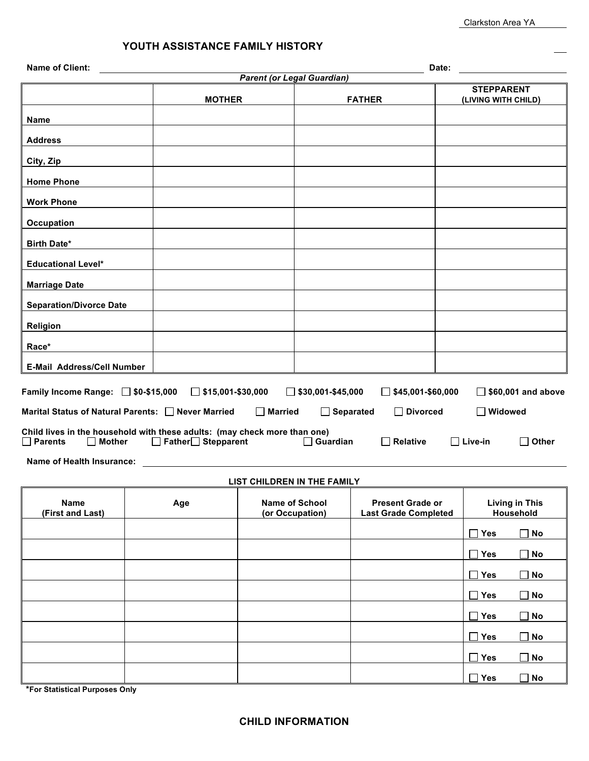**Yes No**

**Yes No**

| <b>Name of Client:</b>                                                                                                                                                                          |               |                          |                                          |                                   |                                                        | Date:           |                                    |                           |  |
|-------------------------------------------------------------------------------------------------------------------------------------------------------------------------------------------------|---------------|--------------------------|------------------------------------------|-----------------------------------|--------------------------------------------------------|-----------------|------------------------------------|---------------------------|--|
|                                                                                                                                                                                                 |               |                          |                                          | <b>Parent (or Legal Guardian)</b> |                                                        |                 | <b>STEPPARENT</b>                  |                           |  |
|                                                                                                                                                                                                 | <b>MOTHER</b> |                          |                                          |                                   | <b>FATHER</b>                                          |                 | (LIVING WITH CHILD)                |                           |  |
| <b>Name</b>                                                                                                                                                                                     |               |                          |                                          |                                   |                                                        |                 |                                    |                           |  |
| <b>Address</b>                                                                                                                                                                                  |               |                          |                                          |                                   |                                                        |                 |                                    |                           |  |
| City, Zip                                                                                                                                                                                       |               |                          |                                          |                                   |                                                        |                 |                                    |                           |  |
| <b>Home Phone</b>                                                                                                                                                                               |               |                          |                                          |                                   |                                                        |                 |                                    |                           |  |
| <b>Work Phone</b>                                                                                                                                                                               |               |                          |                                          |                                   |                                                        |                 |                                    |                           |  |
| <b>Occupation</b>                                                                                                                                                                               |               |                          |                                          |                                   |                                                        |                 |                                    |                           |  |
| <b>Birth Date*</b>                                                                                                                                                                              |               |                          |                                          |                                   |                                                        |                 |                                    |                           |  |
| <b>Educational Level*</b>                                                                                                                                                                       |               |                          |                                          |                                   |                                                        |                 |                                    |                           |  |
| <b>Marriage Date</b>                                                                                                                                                                            |               |                          |                                          |                                   |                                                        |                 |                                    |                           |  |
| <b>Separation/Divorce Date</b>                                                                                                                                                                  |               |                          |                                          |                                   |                                                        |                 |                                    |                           |  |
| Religion                                                                                                                                                                                        |               |                          |                                          |                                   |                                                        |                 |                                    |                           |  |
| Race*                                                                                                                                                                                           |               |                          |                                          |                                   |                                                        |                 |                                    |                           |  |
| <b>E-Mail Address/Cell Number</b>                                                                                                                                                               |               |                          |                                          |                                   |                                                        |                 |                                    |                           |  |
|                                                                                                                                                                                                 |               |                          |                                          |                                   |                                                        |                 |                                    |                           |  |
| Family Income Range: □ \$0-\$15,000                                                                                                                                                             |               | $\Box$ \$15,001-\$30,000 |                                          | $\Box$ \$30,001-\$45,000          | \$45,001-\$60,000                                      |                 |                                    | $\Box$ \$60,001 and above |  |
| Marital Status of Natural Parents: Never Married                                                                                                                                                |               |                          | $\Box$ Married                           | $\Box$ Separated                  | <b>Divorced</b><br>$\mathsf{L}$                        |                 | □ Widowed                          |                           |  |
| Child lives in the household with these adults: (may check more than one)<br>Father <sup>1</sup> Stepparent<br>$\Box$ Guardian<br>$\Box$ Parents<br>$\Box$ Mother<br>Relative<br>$\Box$ Live-in |               |                          |                                          |                                   |                                                        | $\square$ Other |                                    |                           |  |
| Name of Health Insurance:                                                                                                                                                                       |               |                          |                                          |                                   |                                                        |                 |                                    |                           |  |
|                                                                                                                                                                                                 |               |                          |                                          | LIST CHILDREN IN THE FAMILY       |                                                        |                 |                                    |                           |  |
| <b>Name</b>                                                                                                                                                                                     |               | Age                      | <b>Name of School</b><br>(or Occupation) |                                   | <b>Present Grade or</b><br><b>Last Grade Completed</b> |                 | <b>Living in This</b><br>Household |                           |  |
| (First and Last)                                                                                                                                                                                |               |                          |                                          |                                   |                                                        |                 |                                    |                           |  |
|                                                                                                                                                                                                 |               |                          |                                          |                                   |                                                        |                 | $\Box$ Yes                         | <b>No</b>                 |  |
|                                                                                                                                                                                                 |               |                          |                                          |                                   |                                                        |                 | Yes                                | <b>No</b>                 |  |
|                                                                                                                                                                                                 |               |                          |                                          |                                   |                                                        |                 | $\square$ Yes                      | <b>No</b>                 |  |
|                                                                                                                                                                                                 |               |                          |                                          |                                   |                                                        |                 | $\Box$ Yes                         | <b>No</b>                 |  |
|                                                                                                                                                                                                 |               |                          |                                          |                                   |                                                        |                 | Yes<br>$\mathsf{L}$                | <b>No</b><br>$\Box$       |  |
|                                                                                                                                                                                                 |               |                          |                                          |                                   |                                                        |                 | $\square$ Yes                      | $\Box$ No                 |  |

**\*For Statistical Purposes Only**